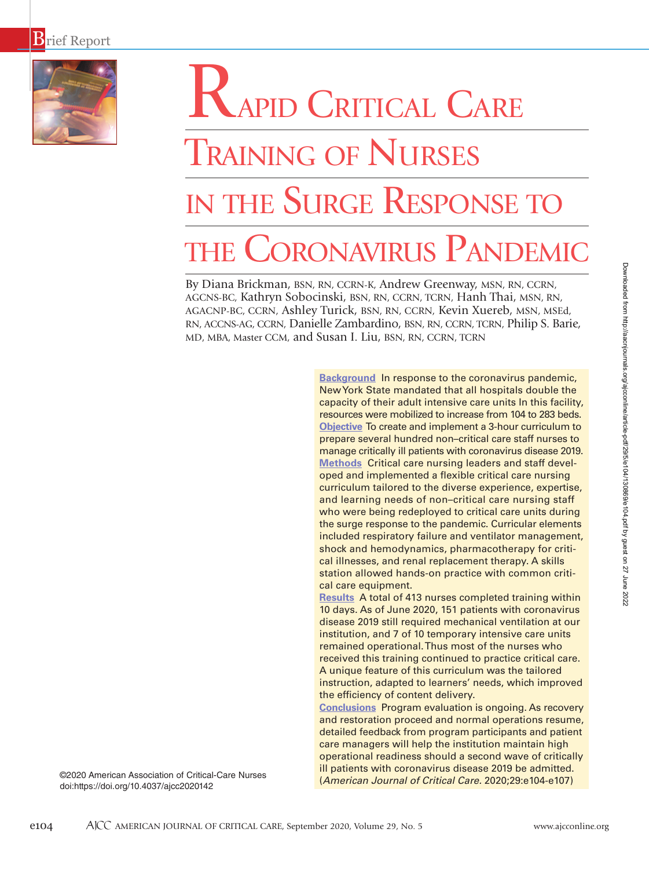

# RAPID CRITICAL CARE

# TRAINING OF NURSES in the Surge Response to the Coronavirus Pandemic

By Diana Brickman, BSN, RN, CCRN-K, Andrew Greenway, MSN, RN, CCRN, AGCNS-BC, Kathryn Sobocinski, BSN, RN, CCRN, TCRN, Hanh Thai, MSN, RN, AGACNP-BC, CCRN, Ashley Turick, BSN, RN, CCRN, Kevin Xuereb, MSN, MSEd, RN, ACCNS-AG, CCRN, Danielle Zambardino, BSN, RN, CCRN, TCRN, Philip S. Barie, MD, MBA, Master CCM, and Susan I. Liu, BSN, RN, CCRN, TCRN

> **Background** In response to the coronavirus pandemic, New York State mandated that all hospitals double the capacity of their adult intensive care units In this facility, resources were mobilized to increase from 104 to 283 beds. **Objective** To create and implement a 3-hour curriculum to prepare several hundred non–critical care staff nurses to manage critically ill patients with coronavirus disease 2019. **Methods** Critical care nursing leaders and staff developed and implemented a flexible critical care nursing curriculum tailored to the diverse experience, expertise, and learning needs of non–critical care nursing staff who were being redeployed to critical care units during the surge response to the pandemic. Curricular elements included respiratory failure and ventilator management, shock and hemodynamics, pharmacotherapy for critical illnesses, and renal replacement therapy. A skills station allowed hands-on practice with common critical care equipment.

> **Results** A total of 413 nurses completed training within 10 days. As of June 2020, 151 patients with coronavirus disease 2019 still required mechanical ventilation at our institution, and 7 of 10 temporary intensive care units remained operational. Thus most of the nurses who received this training continued to practice critical care. A unique feature of this curriculum was the tailored instruction, adapted to learners' needs, which improved the efficiency of content delivery.

> **Conclusions** Program evaluation is ongoing. As recovery and restoration proceed and normal operations resume, detailed feedback from program participants and patient care managers will help the institution maintain high operational readiness should a second wave of critically ill patients with coronavirus disease 2019 be admitted. (*American Journal of Critical Care.* 2020;29:e104-e107)

Downloaded from http://aacnjournals.org/ajcoonline/article-pdf/29/5/e104/130869/e104.pdf by guest on 27 June 2022 Downloaded from http://aacnjournals.org/ajcconline/article-pdf/29/5/e104/130869/e104.pdf by guest on 27 June 2022

©2020 American Association of Critical-Care Nurses doi:https://doi.org/10.4037/ajcc2020142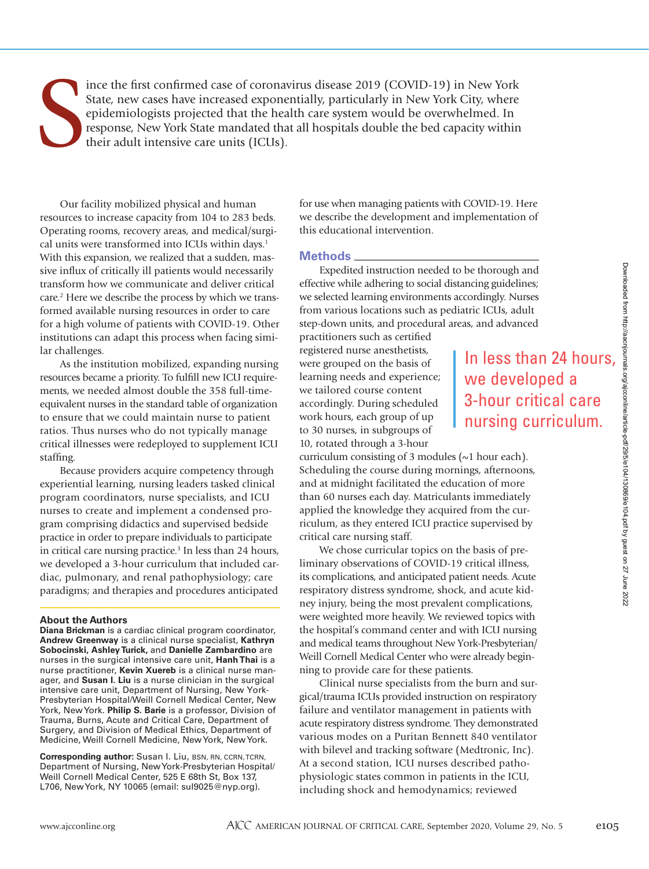S ince the first confirmed case of coronavirus disease 2019 (COVID-19) in New York State, new cases have increased exponentially, particularly in New York City, where epidemiologists projected that the health care system would be overwhelmed. In response, New York State mandated that all hospitals double the bed capacity within their adult intensive care units (ICUs).

Our facility mobilized physical and human resources to increase capacity from 104 to 283 beds. Operating rooms, recovery areas, and medical/surgical units were transformed into ICUs within days.<sup>1</sup> With this expansion, we realized that a sudden, massive influx of critically ill patients would necessarily transform how we communicate and deliver critical care.<sup>2</sup> Here we describe the process by which we transformed available nursing resources in order to care for a high volume of patients with COVID-19. Other institutions can adapt this process when facing similar challenges.

As the institution mobilized, expanding nursing resources became a priority. To fulfill new ICU requirements, we needed almost double the 358 full-timeequivalent nurses in the standard table of organization to ensure that we could maintain nurse to patient ratios. Thus nurses who do not typically manage critical illnesses were redeployed to supplement ICU staffing.

Because providers acquire competency through experiential learning, nursing leaders tasked clinical program coordinators, nurse specialists, and ICU nurses to create and implement a condensed program comprising didactics and supervised bedside practice in order to prepare individuals to participate in critical care nursing practice.3 In less than 24 hours, we developed a 3-hour curriculum that included cardiac, pulmonary, and renal pathophysiology; care paradigms; and therapies and procedures anticipated

### **About the Authors**

**Diana Brickman** is a cardiac clinical program coordinator, **Andrew Greenway** is a clinical nurse specialist, **Kathryn Sobocinski, Ashley Turick,** and **Danielle Zambardino** are nurses in the surgical intensive care unit, **Hanh Thai** is a nurse practitioner, **Kevin Xuereb** is a clinical nurse manager, and **Susan I. Liu** is a nurse clinician in the surgical intensive care unit, Department of Nursing, New York-Presbyterian Hospital/Weill Cornell Medical Center, New York, New York. **Philip S. Barie** is a professor, Division of Trauma, Burns, Acute and Critical Care, Department of Surgery, and Division of Medical Ethics, Department of Medicine, Weill Cornell Medicine, New York, New York.

**Corresponding author:** Susan I. Liu, BSN, RN, CCRN, TCRN, Department of Nursing, New York-Presbyterian Hospital/ Weill Cornell Medical Center, 525 E 68th St, Box 137, L706, New York, NY 10065 (email: sul9025@nyp.org).

for use when managing patients with COVID-19. Here we describe the development and implementation of this educational intervention.

## **Methods**

Expedited instruction needed to be thorough and effective while adhering to social distancing guidelines; we selected learning environments accordingly. Nurses from various locations such as pediatric ICUs, adult step-down units, and procedural areas, and advanced

practitioners such as certified registered nurse anesthetists, were grouped on the basis of learning needs and experience; we tailored course content accordingly. During scheduled work hours, each group of up to 30 nurses, in subgroups of 10, rotated through a 3-hour

# be thorough and<br>
ancing guidelines;<br>
ccordingly. Nurses<br>
atric ICUs, adult<br>
as, and advanced<br> **In less than 24 hours,**<br> **We developed a**<br> **3-hour critical care<br>
nursing curriculum.**<br> **ings, afternoons,**<br>
ation of more<br>
the we developed a 3-hour critical care nursing curriculum.

curriculum consisting of 3 modules (~1 hour each). Scheduling the course during mornings, afternoons, and at midnight facilitated the education of more than 60 nurses each day. Matriculants immediately applied the knowledge they acquired from the curriculum, as they entered ICU practice supervised by critical care nursing staff.

We chose curricular topics on the basis of preliminary observations of COVID-19 critical illness, its complications, and anticipated patient needs. Acute respiratory distress syndrome, shock, and acute kidney injury, being the most prevalent complications, were weighted more heavily. We reviewed topics with the hospital's command center and with ICU nursing and medical teams throughout New York-Presbyterian/ Weill Cornell Medical Center who were already beginning to provide care for these patients.

Clinical nurse specialists from the burn and surgical/trauma ICUs provided instruction on respiratory failure and ventilator management in patients with acute respiratory distress syndrome. They demonstrated various modes on a Puritan Bennett 840 ventilator with bilevel and tracking software (Medtronic, Inc). At a second station, ICU nurses described pathophysiologic states common in patients in the ICU, including shock and hemodynamics; reviewed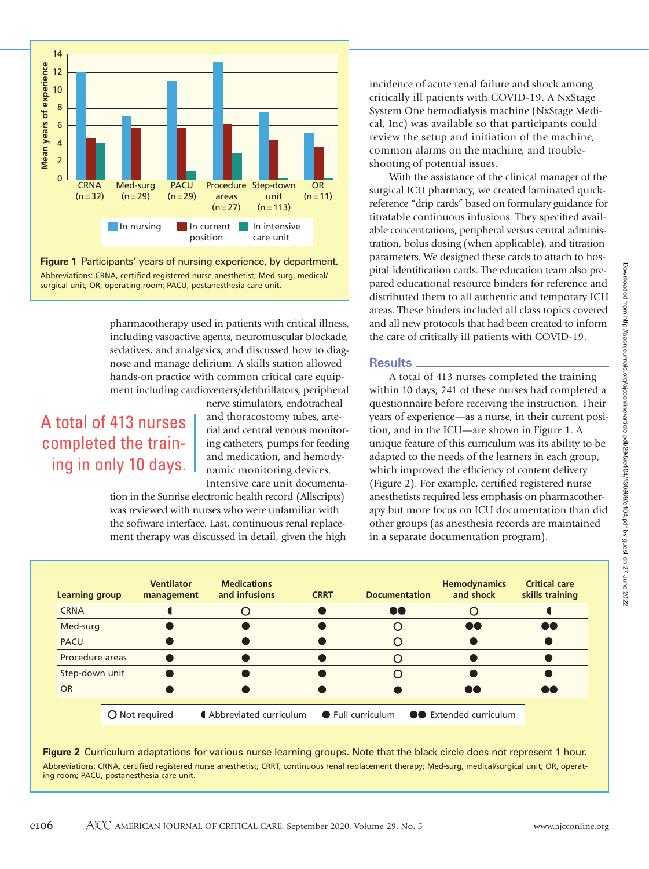

**Figure 1** Participants' years of nursing experience, by department. Abbreviations: CRNA, certified registered nurse anesthetist; Med-surg, medical/ surgical unit; OR, operating room; PACU, postanesthesia care unit.

> pharmacotherapy used in patients with critical illness, including vasoactive agents, neuromuscular blockade, sedatives, and analgesics; and discussed how to diagnose and manage delirium. A skills station allowed hands-on practice with common critical care equipment including cardioverters/defibrillators, peripheral

# A total of 413 nurses completed the training in only 10 days.

nerve stimulators, endotracheal and thoracostomy tubes, arterial and central venous monitoring catheters, pumps for feeding and medication, and hemodynamic monitoring devices.

Intensive care unit documentation in the Sunrise electronic health record (Allscripts)

was reviewed with nurses who were unfamiliar with the software interface. Last, continuous renal replacement therapy was discussed in detail, given the high incidence of acute renal failure and shock among critically ill patients with COVID-19. A NxStage System One hemodialysis machine (NxStage Medical, Inc) was available so that participants could review the setup and initiation of the machine, common alarms on the machine, and troubleshooting of potential issues.

With the assistance of the clinical manager of the surgical ICU pharmacy, we created laminated quickreference "drip cards" based on formulary guidance for titratable continuous infusions. They specified available concentrations, peripheral versus central administration, bolus dosing (when applicable), and titration parameters. We designed these cards to attach to hospital identification cards. The education team also prepared educational resource binders for reference and distributed them to all authentic and temporary ICU areas. These binders included all class topics covered and all new protocols that had been created to inform the care of critically ill patients with COVID-19.

# **Results**

A total of 413 nurses completed the training within 10 days; 241 of these nurses had completed a questionnaire before receiving the instruction. Their years of experience—as a nurse, in their current position, and in the ICU—are shown in Figure 1. A unique feature of this curriculum was its ability to be adapted to the needs of the learners in each group, which improved the efficiency of content delivery (Figure 2). For example, certified registered nurse anesthetists required less emphasis on pharmacotherapy but more focus on ICU documentation than did other groups (as anesthesia records are maintained in a separate documentation program).

| <b>Learning group</b> | <b>Ventilator</b><br>management | <b>Medications</b><br>and infusions | <b>CRRT</b> | <b>Documentation</b>                      | <b>Hemodynamics</b><br>and shock | <b>Critical care</b><br>skills training |
|-----------------------|---------------------------------|-------------------------------------|-------------|-------------------------------------------|----------------------------------|-----------------------------------------|
| <b>CRNA</b>           |                                 |                                     |             | 66                                        |                                  |                                         |
| Med-surg              |                                 |                                     |             |                                           |                                  |                                         |
| <b>PACU</b>           |                                 |                                     |             |                                           |                                  |                                         |
| Procedure areas       |                                 |                                     |             |                                           |                                  |                                         |
| Step-down unit        |                                 |                                     |             |                                           |                                  |                                         |
| <b>OR</b>             |                                 |                                     |             |                                           | $\mathbf{Y}$                     |                                         |
|                       | O Not required                  | Abbreviated curriculum              |             | • Full curriculum • • Extended curriculum |                                  |                                         |

**Figure 2** Curriculum adaptations for various nurse learning groups. Note that the black circle does not represent 1 hour. Abbreviations: CRNA, certified registered nurse anesthetist; CRRT, continuous renal replacement therapy; Med-surg, medical/surgical unit; OR, operating room; PACU, postanesthesia care unit.